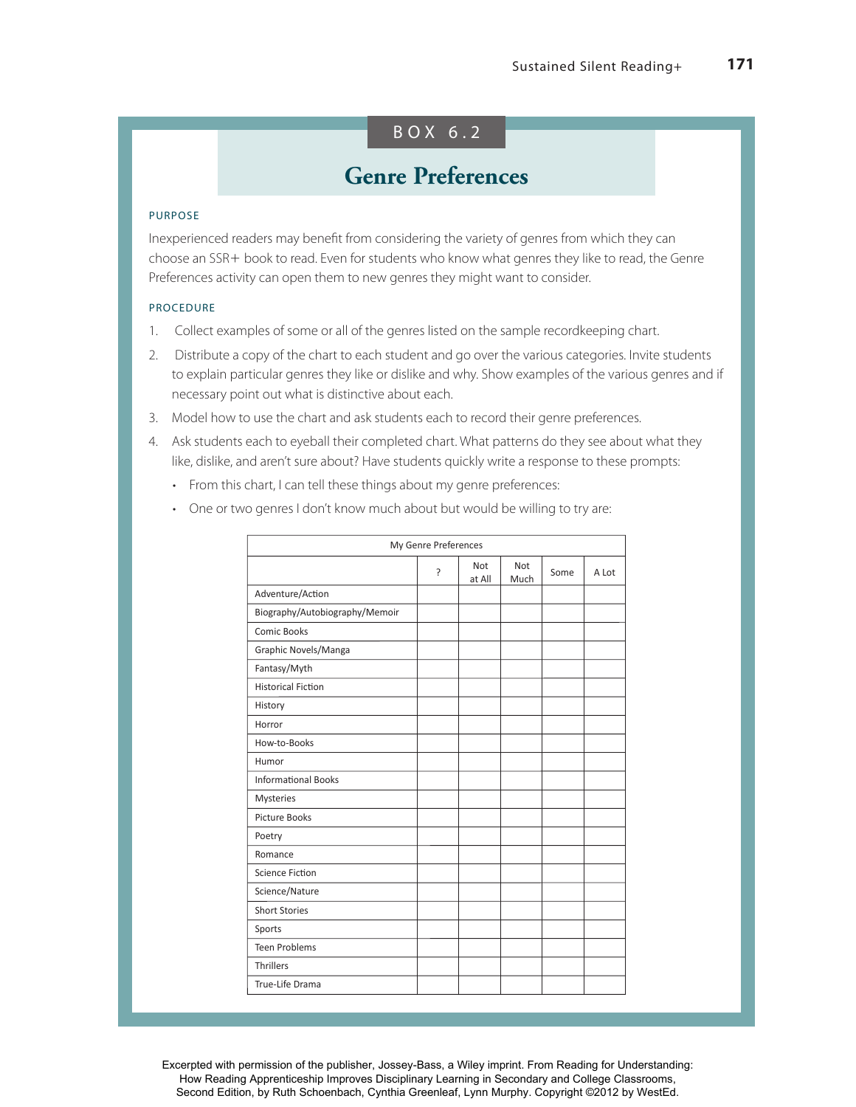### BOX 6.2

## **Genre Preferences**

#### PURPOSE

Inexperienced readers may benefit from considering the variety of genres from which they can choose an SSR- book to read. Even for students who know what genres they like to read, the Genre Preferences activity can open them to new genres they might want to consider.

#### PROCEDURE

- 1. Collect examples of some or all of the genres listed on the sample recordkeeping chart.
- 2. Distribute a copy of the chart to each student and go over the various categories. Invite students to explain particular genres they like or dislike and why. Show examples of the various genres and if necessary point out what is distinctive about each.
- 3. Model how to use the chart and ask students each to record their genre preferences.
- 4. Ask students each to eyeball their completed chart. What patterns do they see about what they like, dislike, and aren't sure about? Have students quickly write a response to these prompts:
	- From this chart, I can tell these things about my genre preferences:
	- One or two genres I don't know much about but would be willing to try are:

| Not<br>Not<br>?<br>Some<br>A Lot<br>at All<br>Much<br>Adventure/Action<br>Biography/Autobiography/Memoir<br><b>Comic Books</b><br>Graphic Novels/Manga<br>Fantasy/Myth<br><b>Historical Fiction</b><br>History<br>Horror<br>How-to-Books<br>Humor<br><b>Informational Books</b><br><b>Mysteries</b><br><b>Picture Books</b><br>Poetry<br>Romance<br><b>Science Fiction</b><br>Science/Nature<br><b>Short Stories</b><br>Sports<br><b>Teen Problems</b><br><b>Thrillers</b><br>True-Life Drama | My Genre Preferences |  |  |  |  |  |  |  |  |
|-----------------------------------------------------------------------------------------------------------------------------------------------------------------------------------------------------------------------------------------------------------------------------------------------------------------------------------------------------------------------------------------------------------------------------------------------------------------------------------------------|----------------------|--|--|--|--|--|--|--|--|
|                                                                                                                                                                                                                                                                                                                                                                                                                                                                                               |                      |  |  |  |  |  |  |  |  |
|                                                                                                                                                                                                                                                                                                                                                                                                                                                                                               |                      |  |  |  |  |  |  |  |  |
|                                                                                                                                                                                                                                                                                                                                                                                                                                                                                               |                      |  |  |  |  |  |  |  |  |
|                                                                                                                                                                                                                                                                                                                                                                                                                                                                                               |                      |  |  |  |  |  |  |  |  |
|                                                                                                                                                                                                                                                                                                                                                                                                                                                                                               |                      |  |  |  |  |  |  |  |  |
|                                                                                                                                                                                                                                                                                                                                                                                                                                                                                               |                      |  |  |  |  |  |  |  |  |
|                                                                                                                                                                                                                                                                                                                                                                                                                                                                                               |                      |  |  |  |  |  |  |  |  |
|                                                                                                                                                                                                                                                                                                                                                                                                                                                                                               |                      |  |  |  |  |  |  |  |  |
|                                                                                                                                                                                                                                                                                                                                                                                                                                                                                               |                      |  |  |  |  |  |  |  |  |
|                                                                                                                                                                                                                                                                                                                                                                                                                                                                                               |                      |  |  |  |  |  |  |  |  |
|                                                                                                                                                                                                                                                                                                                                                                                                                                                                                               |                      |  |  |  |  |  |  |  |  |
|                                                                                                                                                                                                                                                                                                                                                                                                                                                                                               |                      |  |  |  |  |  |  |  |  |
|                                                                                                                                                                                                                                                                                                                                                                                                                                                                                               |                      |  |  |  |  |  |  |  |  |
|                                                                                                                                                                                                                                                                                                                                                                                                                                                                                               |                      |  |  |  |  |  |  |  |  |
|                                                                                                                                                                                                                                                                                                                                                                                                                                                                                               |                      |  |  |  |  |  |  |  |  |
|                                                                                                                                                                                                                                                                                                                                                                                                                                                                                               |                      |  |  |  |  |  |  |  |  |
|                                                                                                                                                                                                                                                                                                                                                                                                                                                                                               |                      |  |  |  |  |  |  |  |  |
|                                                                                                                                                                                                                                                                                                                                                                                                                                                                                               |                      |  |  |  |  |  |  |  |  |
|                                                                                                                                                                                                                                                                                                                                                                                                                                                                                               |                      |  |  |  |  |  |  |  |  |
|                                                                                                                                                                                                                                                                                                                                                                                                                                                                                               |                      |  |  |  |  |  |  |  |  |
|                                                                                                                                                                                                                                                                                                                                                                                                                                                                                               |                      |  |  |  |  |  |  |  |  |
|                                                                                                                                                                                                                                                                                                                                                                                                                                                                                               |                      |  |  |  |  |  |  |  |  |
|                                                                                                                                                                                                                                                                                                                                                                                                                                                                                               |                      |  |  |  |  |  |  |  |  |

Excerpted with permission of the publisher, Jossey-Bass, a Wiley imprint. From Reading for Understanding: How Reading Apprenticeship Improves Disciplinary Learning in Secondary and College Classrooms, Second Edition, by Ruth Schoenbach, Cynthia Greenleaf, Lynn Murphy. Copyright ©2012 by WestEd.